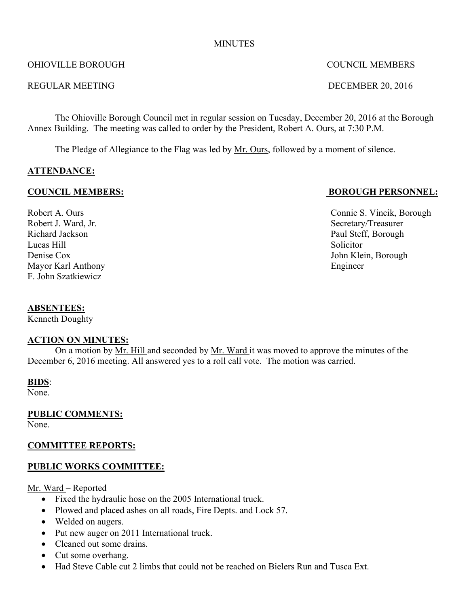#### MINUTES

#### OHIOVILLE BOROUGH COUNCIL MEMBERS

#### REGULAR MEETING DECEMBER 20, 2016

The Ohioville Borough Council met in regular session on Tuesday, December 20, 2016 at the Borough Annex Building. The meeting was called to order by the President, Robert A. Ours, at 7:30 P.M.

The Pledge of Allegiance to the Flag was led by Mr. Ours, followed by a moment of silence.

## **ATTENDANCE:**

#### **COUNCIL MEMBERS: BOROUGH PERSONNEL:**

Robert J. Ward, Jr. Secretary/Treasurer Richard Jackson Paul Steff, Borough Lucas Hill Solicitor Denise Cox John Klein, Borough Mayor Karl Anthony Engineer F. John Szatkiewicz

#### **ABSENTEES:**

Kenneth Doughty

#### **ACTION ON MINUTES:**

On a motion by Mr. Hill and seconded by Mr. Ward it was moved to approve the minutes of the December 6, 2016 meeting. All answered yes to a roll call vote. The motion was carried.

#### **BIDS**:

None.

**PUBLIC COMMENTS:**

None.

#### **COMMITTEE REPORTS:**

#### **PUBLIC WORKS COMMITTEE:**

Mr. Ward – Reported

- Fixed the hydraulic hose on the 2005 International truck.
- Plowed and placed ashes on all roads, Fire Depts. and Lock 57.
- Welded on augers.
- Put new auger on 2011 International truck.
- Cleaned out some drains.
- Cut some overhang.
- Had Steve Cable cut 2 limbs that could not be reached on Bielers Run and Tusca Ext.

Robert A. Ours Connie S. Vincik, Borough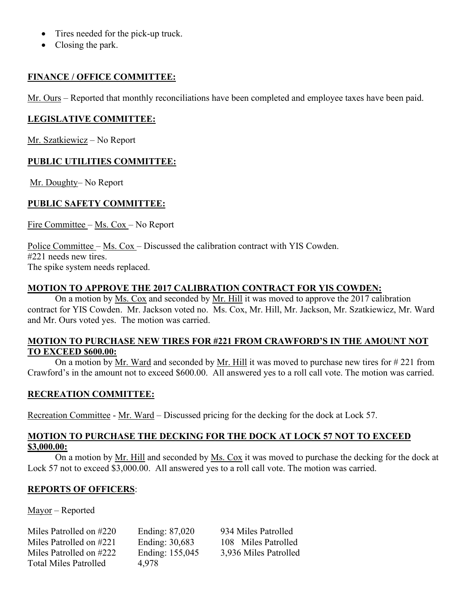- Tires needed for the pick-up truck.
- Closing the park.

#### **FINANCE / OFFICE COMMITTEE:**

Mr. Ours – Reported that monthly reconciliations have been completed and employee taxes have been paid.

## **LEGISLATIVE COMMITTEE:**

Mr. Szatkiewicz – No Report

# **PUBLIC UTILITIES COMMITTEE:**

Mr. Doughty– No Report

# **PUBLIC SAFETY COMMITTEE:**

Fire Committee – Ms. Cox – No Report

Police Committee – Ms. Cox – Discussed the calibration contract with YIS Cowden. #221 needs new tires. The spike system needs replaced.

## **MOTION TO APPROVE THE 2017 CALIBRATION CONTRACT FOR YIS COWDEN:**

On a motion by Ms. Cox and seconded by Mr. Hill it was moved to approve the 2017 calibration contract for YIS Cowden. Mr. Jackson voted no. Ms. Cox, Mr. Hill, Mr. Jackson, Mr. Szatkiewicz, Mr. Ward and Mr. Ours voted yes. The motion was carried.

## **MOTION TO PURCHASE NEW TIRES FOR #221 FROM CRAWFORD'S IN THE AMOUNT NOT TO EXCEED \$600.00:**

On a motion by Mr. Ward and seconded by Mr. Hill it was moved to purchase new tires for # 221 from Crawford's in the amount not to exceed \$600.00. All answered yes to a roll call vote. The motion was carried.

## **RECREATION COMMITTEE:**

Recreation Committee - Mr. Ward – Discussed pricing for the decking for the dock at Lock 57.

#### **MOTION TO PURCHASE THE DECKING FOR THE DOCK AT LOCK 57 NOT TO EXCEED \$3,000.00:**

On a motion by Mr. Hill and seconded by Ms. Cox it was moved to purchase the decking for the dock at Lock 57 not to exceed \$3,000.00. All answered yes to a roll call vote. The motion was carried.

## **REPORTS OF OFFICERS**:

Mayor – Reported

| Miles Patrolled on #220      |  |
|------------------------------|--|
| Miles Patrolled on #221      |  |
| Miles Patrolled on #222      |  |
| <b>Total Miles Patrolled</b> |  |

4,978

Ending: 87,020 934 Miles Patrolled Ending: 30,683 108 Miles Patrolled Ending: 155,045 3,936 Miles Patrolled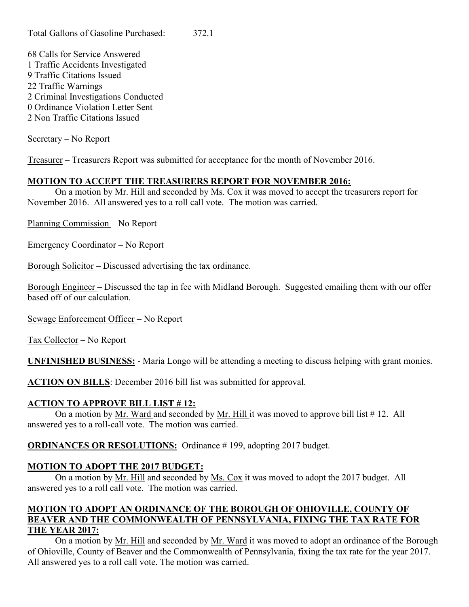Calls for Service Answered 1 Traffic Accidents Investigated Traffic Citations Issued Traffic Warnings Criminal Investigations Conducted Ordinance Violation Letter Sent 2 Non Traffic Citations Issued

Secretary – No Report

Treasurer – Treasurers Report was submitted for acceptance for the month of November 2016.

# **MOTION TO ACCEPT THE TREASURERS REPORT FOR NOVEMBER 2016:**

On a motion by Mr. Hill and seconded by Ms. Cox it was moved to accept the treasurers report for November 2016. All answered yes to a roll call vote. The motion was carried.

Planning Commission – No Report

Emergency Coordinator – No Report

Borough Solicitor – Discussed advertising the tax ordinance.

Borough Engineer – Discussed the tap in fee with Midland Borough. Suggested emailing them with our offer based off of our calculation.

Sewage Enforcement Officer – No Report

Tax Collector – No Report

**UNFINISHED BUSINESS:** - Maria Longo will be attending a meeting to discuss helping with grant monies.

**ACTION ON BILLS**: December 2016 bill list was submitted for approval.

## **ACTION TO APPROVE BILL LIST # 12:**

On a motion by Mr. Ward and seconded by Mr. Hill it was moved to approve bill list # 12. All answered yes to a roll-call vote. The motion was carried.

**ORDINANCES OR RESOLUTIONS:** Ordinance #199, adopting 2017 budget.

# **MOTION TO ADOPT THE 2017 BUDGET:**

On a motion by Mr. Hill and seconded by Ms. Cox it was moved to adopt the 2017 budget. All answered yes to a roll call vote. The motion was carried.

# **MOTION TO ADOPT AN ORDINANCE OF THE BOROUGH OF OHIOVILLE, COUNTY OF BEAVER AND THE COMMONWEALTH OF PENNSYLVANIA, FIXING THE TAX RATE FOR THE YEAR 2017:**

On a motion by Mr. Hill and seconded by Mr. Ward it was moved to adopt an ordinance of the Borough of Ohioville, County of Beaver and the Commonwealth of Pennsylvania, fixing the tax rate for the year 2017. All answered yes to a roll call vote. The motion was carried.